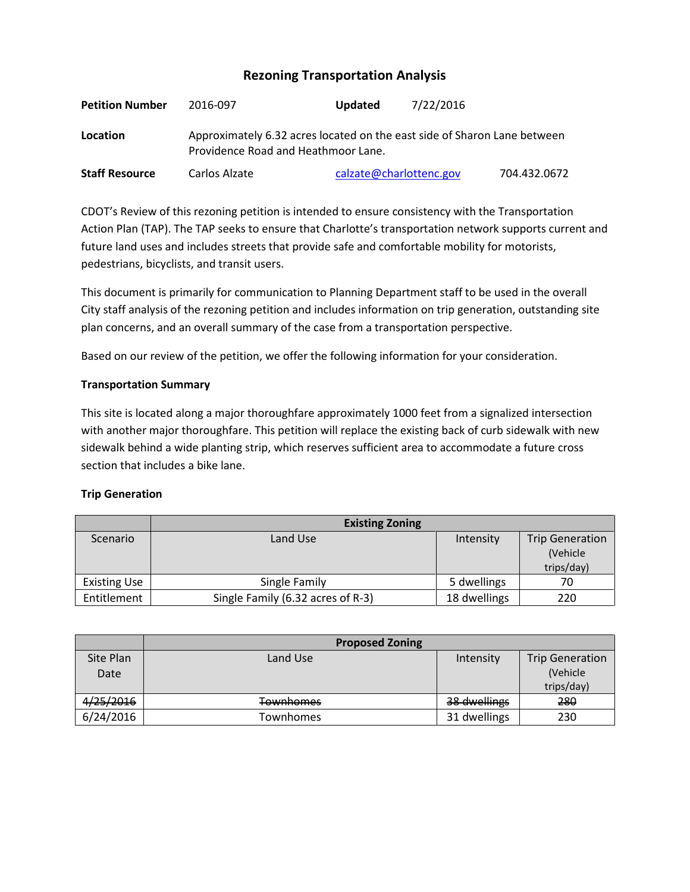# **Rezoning Transportation Analysis**

| <b>Petition Number</b> | 2016-097                                                                                                        | <b>Updated</b>          | 7/22/2016    |  |  |
|------------------------|-----------------------------------------------------------------------------------------------------------------|-------------------------|--------------|--|--|
| Location               | Approximately 6.32 acres located on the east side of Sharon Lane between<br>Providence Road and Heathmoor Lane. |                         |              |  |  |
| <b>Staff Resource</b>  | Carlos Alzate                                                                                                   | calzate@charlottenc.gov | 704.432.0672 |  |  |

CDOT's Review of this rezoning petition is intended to ensure consistency with the Transportation Action Plan (TAP). The TAP seeks to ensure that Charlotte's transportation network supports current and future land uses and includes streets that provide safe and comfortable mobility for motorists, pedestrians, bicyclists, and transit users.

This document is primarily for communication to Planning Department staff to be used in the overall City staff analysis of the rezoning petition and includes information on trip generation, outstanding site plan concerns, and an overall summary of the case from a transportation perspective.

Based on our review of the petition, we offer the following information for your consideration.

#### **Transportation Summary**

This site is located along a major thoroughfare approximately 1000 feet from a signalized intersection with another major thoroughfare. This petition will replace the existing back of curb sidewalk with new sidewalk behind a wide planting strip, which reserves sufficient area to accommodate a future cross section that includes a bike lane.

#### **Trip Generation**

|                     | <b>Existing Zoning</b>            |              |                        |
|---------------------|-----------------------------------|--------------|------------------------|
| Scenario            | Land Use                          | Intensity    | <b>Trip Generation</b> |
|                     |                                   |              | (Vehicle               |
|                     |                                   |              | trips/day)             |
| <b>Existing Use</b> | Single Family                     | 5 dwellings  | 70                     |
| Entitlement         | Single Family (6.32 acres of R-3) | 18 dwellings | 220                    |

|           | <b>Proposed Zoning</b> |              |                        |
|-----------|------------------------|--------------|------------------------|
| Site Plan | Land Use               | Intensity    | <b>Trip Generation</b> |
| Date      |                        |              | (Vehicle               |
|           |                        |              | trips/day)             |
| 4/25/2016 | <b>Townhomes</b>       | 38 dwellings | 280                    |
| 6/24/2016 | Townhomes              | 31 dwellings | 230                    |